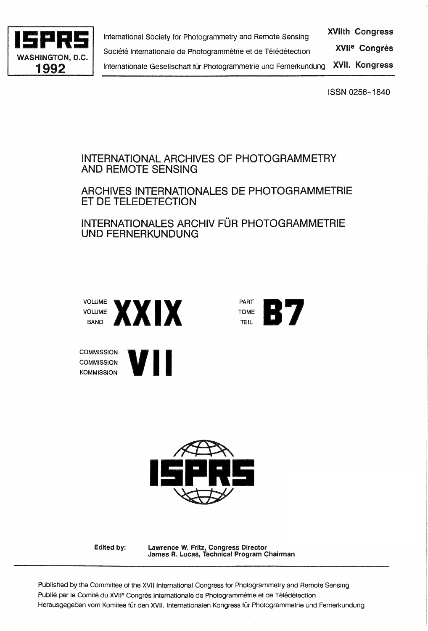

**15PRS 2008 International Society for Photogrammetry and Remote Sensing XVIIth Congress**<br>Société Internationale de Photogrammétrie et de Télédétection XVII<sup>e</sup> Congrès xvue Congres Société Internationale de Photogrammétrie et de Télédétection 1992 | Internationale Gesellschaft für Photogrammetrie und Fernerkundung XVII. Kongress

ISSN 0256-1840

# INTERNATIONAL ARCHIVES OF PHOTOGRAMMETRY AND REMOTE SENSING

# ARCHIVES INTERNATIONALES DE PHOTOGRAMMETRIE ET DE TELEDETECTION

INTERNATIONALES ARCHIV FÜR PHOTOGRAMMETRIE UNO FERNERKUNDUNG



**COMMISSION COMMISSION** 







Edited by:

Lawrence W. Fritz, Congress Director James R. Lucas, Technical Program Chairman

Published by the Committee of the XVII International Congress for Photogrammetry and Remote Sensing Publié par le Comité du XVII<sup>e</sup> Congrès Internationale de Photogrammétrie et de Télédétection Herausgegeben vom Komitee für den XVII. Internationalen Kongress für Photogrammetrie und Fernerkundung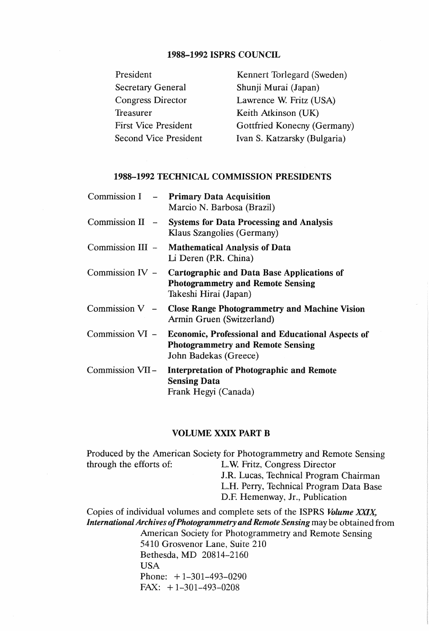## 1988-1992 ISPRS COUNCIL

| President                    |
|------------------------------|
| <b>Secretary General</b>     |
| Congress Director            |
| Treasurer                    |
| <b>First Vice President</b>  |
| <b>Second Vice President</b> |

Kennert Torlegard (Sweden) Shunji Murai (Japan) Lawrence W. Fritz (USA) Keith Atkinson (UK) Gottfried Konecny (Germany) Ivan S. Katzarsky (Bulgaria)

## 1988-1992 TECHNICAL COMMISSION PRESIDENTS

|  | Commission I - Primary Data Acquisition<br>Marcio N. Barbosa (Brazil)                                                                  |
|--|----------------------------------------------------------------------------------------------------------------------------------------|
|  | Commission II - Systems for Data Processing and Analysis<br>Klaus Szangolies (Germany)                                                 |
|  | Commission III - Mathematical Analysis of Data<br>Li Deren (P.R. China)                                                                |
|  | Commission IV - Cartographic and Data Base Applications of<br><b>Photogrammetry and Remote Sensing</b><br>Takeshi Hirai (Japan)        |
|  | Commission V - Close Range Photogrammetry and Machine Vision<br>Armin Gruen (Switzerland)                                              |
|  | Commission VI - Economic, Professional and Educational Aspects of<br><b>Photogrammetry and Remote Sensing</b><br>John Badekas (Greece) |
|  | Commission VII- Interpretation of Photographic and Remote<br><b>Sensing Data</b><br>Frank Hegyi (Canada)                               |

### VOLUME XXIX PART B

Produced by the American Society for Photogrammetry and Remote Sensing through the efforts of: L.W. Fritz, Congress Director J.R. Lucas, Technical Program Chairman L.H. Perry, Technical Program Data Base

D.F. Hemenway, Jr., Publication

Copies of individual volumes and complete sets of the ISPRS *Volume XXIX, International Archives of Photogrammetry and Remote Sensing* may be obtained from American Society for Photogrammetry and Remote Sensing 5410 Grosvenor Lane, Suite 210 Bethesda, MD 20814-2160 USA Phone: +1-301-493-0290 FAX:  $+1-301-493-0208$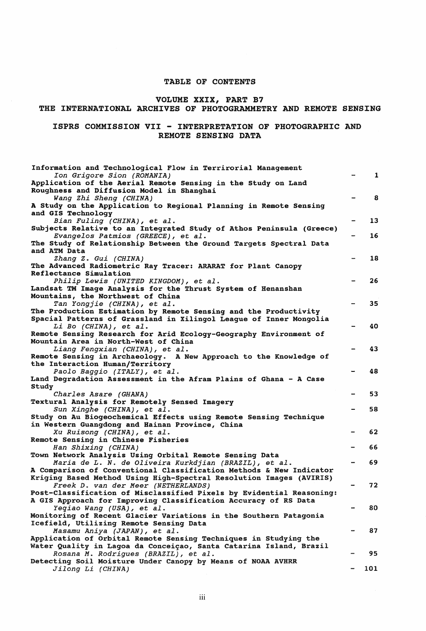#### TABLE OF CONTENTS

### VOLUME XXIX, PART B7

## THE INTERNATIONAL ARCHIVES OF PHOTOGRAMMETRY AND REMOTE SENSING

#### ISPRS COMMISSION VII - INTERPRETATION OF PHOTOGRAPHIC AND REMOTE SENSING DATA

| Information and Technological Flow in Terrirorial Management<br>Ion Grigore Sion (ROMANIA)<br>Application of the Aerial Remote Sensing in the Study on Land | $\mathbf{1}$ |
|-------------------------------------------------------------------------------------------------------------------------------------------------------------|--------------|
| Roughness and Diffusion Model in Shanghai<br>Wang Zhi Sheng (CHINA)<br>A Study on the Application to Regional Planning in Remote Sensing                    | 8            |
| and GIS Technology<br>Bian Fuling (CHINA), et al.                                                                                                           | 13           |
| Subjects Relative to an Integrated Study of Athos Peninsula (Greece)                                                                                        |              |
| Evangelos Patmios (GREECE), et al.<br>The Study of Relationship Between the Ground Targets Spectral Data                                                    | 16           |
| and ATM Data<br>Zhang Z. Gui (CHINA)                                                                                                                        | 18           |
| The Advanced Radiometric Ray Tracer: ARARAT for Plant Canopy                                                                                                |              |
| Reflectance Simulation                                                                                                                                      |              |
| Philip Lewis (UNITED KINGDOM), et al.                                                                                                                       | 26           |
| Landsat TM Image Analysis for the Thrust System of Henanshan<br>Mountains, the Northwest of China                                                           |              |
| Tan Yongjie (CHINA), et al.                                                                                                                                 | 35           |
| The Production Estimation by Remote Sensing and the Productivity                                                                                            |              |
| Spacial Patterns of Grassland in Xilingol League of Inner Mongolia                                                                                          |              |
| <i>Li Bo (CHINA), et al.</i>                                                                                                                                | 40           |
| Remote Sensing Research for Arid Ecology-Geography Environment of                                                                                           |              |
| Mountain Area in North-West of China                                                                                                                        | 43           |
| Liang Fengxian (CHINA), et al.<br>Remote Sensing in Archaeology. A New Approach to the Knowledge of                                                         |              |
| the Interaction Human/Territory                                                                                                                             |              |
| Paolo Baggio (ITALY), et al.                                                                                                                                | 48           |
| Land Degradation Assessment in the Afram Plains of Ghana - A Case<br>Study                                                                                  |              |
| Charles Asare (GHANA)                                                                                                                                       | 53           |
| Textural Analysis for Remotely Sensed Imagery                                                                                                               |              |
| Sun Xinghe (CHINA), et al.                                                                                                                                  | 58           |
| Study on Au Biogeochemical Effects using Remote Sensing Technique<br>in Western Guangdong and Hainan Province, China                                        |              |
| Xu Ruisong (CHINA), et al.                                                                                                                                  | 62           |
| Remote Sensing in Chinese Fisheries                                                                                                                         |              |
| Han Shixing (CHINA)                                                                                                                                         | 66           |
| Town Network Analysis Using Orbital Remote Sensing Data                                                                                                     |              |
| Maria de L. N. de Oliveira Kurkdjian (BRAZIL), et al.                                                                                                       | 69           |
| A Comparison of Conventional Classification Methods & New Indicator                                                                                         |              |
| Kriging Based Method Using High-Spectral Resolution Images (AVIRIS)<br>Freek D. van der Meer (NETHERLANDS)                                                  | 72           |
| Post-Classification of Misclassified Pixels by Evidential Reasoning:                                                                                        |              |
| A GIS Approach for Improving Classification Accuracy of RS Data                                                                                             |              |
| Yeqiao Wang (USA), et al.                                                                                                                                   | 80           |
| Monitoring of Recent Glacier Variations in the Southern Patagonia                                                                                           |              |
| Icefield, Utilizing Remote Sensing Data                                                                                                                     |              |
| Masamu Aniya (JAPAN), et al.<br>Application of Orbital Remote Sensing Techniques in Studying the                                                            | 87           |
| Water Quality in Lagoa da Conceiçao, Santa Catarina Island, Brazil                                                                                          |              |
| Rosana M. Rodrigues (BRAZIL), et al.                                                                                                                        | 95           |
| Detecting Soil Moisture Under Canopy by Means of NOAA AVHRR                                                                                                 |              |
| Jilong Li (CHINA)                                                                                                                                           | 101          |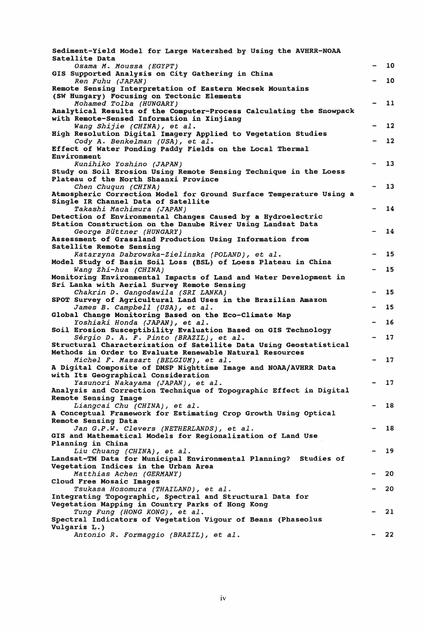| Sediment-Yield Model for Large Watershed by Using the AVHRR-NOAA<br>Satellite Data                           |                          |    |
|--------------------------------------------------------------------------------------------------------------|--------------------------|----|
| Osama M. Moussa (EGYPT)                                                                                      | $\overline{\phantom{a}}$ | 10 |
| GIS Supported Analysis on City Gathering in China<br>Ren Fuhu (JAPAN)                                        |                          | 10 |
| Remote Sensing Interpretation of Eastern Mecsek Mountains                                                    |                          |    |
| (SW Hungary) Focusing on Tectonic Elements                                                                   |                          |    |
| Mohamed Tolba (HUNGARY)                                                                                      |                          | 11 |
| Analytical Results of the Computer-Process Calculating the Snowpack                                          |                          |    |
| with Remote-Sensed Information in Xinjiang                                                                   |                          |    |
| Wang Shijie (CHINA), et al.<br>High Resolution Digital Imagery Applied to Vegetation Studies                 |                          | 12 |
| Cody A. Benkelman (USA), et al.                                                                              |                          | 12 |
| Effect of Water Ponding Paddy Fields on the Local Thermal                                                    |                          |    |
| Environment                                                                                                  |                          |    |
| Kunihiko Yoshino (JAPAN)                                                                                     |                          | 13 |
| Study on Soil Erosion Using Remote Sensing Technique in the Loess                                            |                          |    |
| Plateau of the North Shaanxi Province                                                                        |                          |    |
| Chen Chuqun (CHINA)                                                                                          |                          | 13 |
| Atmospheric Correction Model for Ground Surface Temperature Using a                                          |                          |    |
| Single IR Channel Data of Satellite                                                                          |                          |    |
| Takashi Machimura (JAPAN)                                                                                    |                          | 14 |
| Detection of Environmental Changes Caused by a Hydroelectric                                                 |                          |    |
| Station Construction on the Danube River Using Landsat Data                                                  |                          | 14 |
| George Büttner (HUNGARY)<br>Assessment of Grassland Production Using Information from                        |                          |    |
| Satellite Remote Sensing                                                                                     |                          |    |
| Katarzyna Dabrowska-Zielinska (POLAND), et al.                                                               |                          | 15 |
| Model Study of Basin Soil Loss (BSL) of Loess Plateau in China                                               |                          |    |
| Wang Zhi-hua (CHINA)                                                                                         |                          | 15 |
| Monitoring Environmental Impacts of Land and Water Development in                                            |                          |    |
| Sri Lanka with Aerial Survey Remote Sensing                                                                  |                          |    |
| Chakrin D. Gangodawila (SRI LANKA)                                                                           |                          | 15 |
| SPOT Survey of Agricultural Land Uses in the Brazilian Amazon                                                |                          |    |
| James B. Campbell (USA), et al.                                                                              |                          | 15 |
| Global Change Monitoring Based on the Eco-Climate Map                                                        |                          |    |
| Yoshiaki Honda (JAPAN), et al.                                                                               |                          | 16 |
| Soil Erosion Susceptibility Evaluation Based on GIS Technology                                               |                          | 17 |
| Sérgio D. A. F. Pinto (BRAZIL), et al.<br>Structural Characterization of Satellite Data Using Geostatistical |                          |    |
| Methods in Order to Evaluate Renewable Natural Resources                                                     |                          |    |
| Michel F. Massart (BELGIUM), et al.                                                                          |                          | 17 |
| A Digital Composite of DMSP Nighttime Image and NOAA/AVHRR Data                                              |                          |    |
| with Its Geographical Consideration                                                                          |                          |    |
| Yasunori Nakayama (JAPAN), et al.                                                                            |                          | 17 |
| Analysis and Correction Technique of Topographic Effect in Digital                                           |                          |    |
| Remote Sensing Image                                                                                         |                          |    |
| Liangcai Chu (CHINA), et al.                                                                                 |                          | 18 |
| A Conceptual Framework for Estimating Crop Growth Using Optical                                              |                          |    |
| Remote Sensing Data                                                                                          |                          |    |
| Jan G.P.W. Clevers (NETHERLANDS), et al.<br>GIS and Mathematical Models for Regionalization of Land Use      |                          | 18 |
| Planning in China                                                                                            |                          |    |
| Liu Chuang (CHINA), et al.                                                                                   |                          | 19 |
| Landsat-TM Data for Municipal Environmental Planning? Studies of                                             |                          |    |
| Vegetation Indices in the Urban Area                                                                         |                          |    |
| Matthias Achen (GERMANY)                                                                                     |                          | 20 |
| Cloud Free Mosaic Images                                                                                     |                          |    |
| Tsukasa Hosomura (THAILAND), et al.                                                                          |                          | 20 |
| Integrating Topographic, Spectral and Structural Data for                                                    |                          |    |
| Vegetation Mapping in Country Parks of Hong Kong                                                             |                          |    |
| Tung Fung (HONG KONG), et al.                                                                                |                          | 21 |
| Spectral Indicators of Vegetation Vigour of Beans (Phaseolus                                                 |                          |    |
| Vulgaris L.)<br>Antonio R. Formaggio (BRAZIL), et al.                                                        |                          | 22 |
|                                                                                                              |                          |    |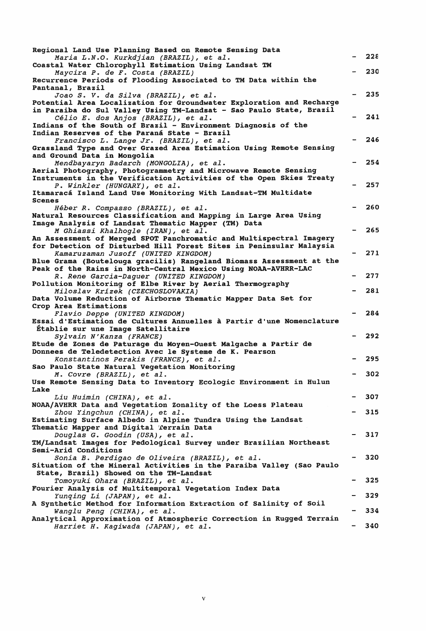| Regional Land Use Planning Based on Remote Sensing Data                                                                                |     |
|----------------------------------------------------------------------------------------------------------------------------------------|-----|
| Maria L.N.O. Kurkdjian (BRAZIL), et al.                                                                                                | 228 |
| Coastal Water Chlorophyll Estimation Using Landsat TM                                                                                  | 230 |
| Maycira P. de F. Costa (BRAZIL)<br>Recurrence Periods of Flooding Associated to TM Data within the                                     |     |
| Pantanal, Brazil                                                                                                                       |     |
| Joao S. V. da Silva (BRAZIL), et al.                                                                                                   | 235 |
| Potential Area Localization for Groundwater Exploration and Recharge                                                                   |     |
| in Paraiba do Sul Valley Using TM-Landsat - Sao Paulo State, Brazil                                                                    | 241 |
| Célio E. dos Anjos (BRAZIL), et al.<br>Indians of the South of Brazil - Environment Diagnosis of the                                   |     |
| Indian Reserves of the Paraná State - Brazil                                                                                           |     |
| Francisco L. Lange Jr. (BRAZIL), et al.                                                                                                | 246 |
| Grassland Type and Over Grazed Area Estimation Using Remote Sensing                                                                    |     |
| and Ground Data in Mongolia                                                                                                            |     |
| Mendbayaryn Badarch (MONGOLIA), et al.                                                                                                 | 254 |
| Aerial Photography, Photogrammetry and Microwave Remote Sensing<br>Instruments in the Verification Activities of the Open Skies Treaty |     |
| P. Winkler (HUNGARY), et al.                                                                                                           | 257 |
| Itamaracá Island Land Use Monitoring With Landsat-TM Multidate                                                                         |     |
| <b>Scenes</b>                                                                                                                          |     |
| Héber R. Compasso (BRAZIL), et al.                                                                                                     | 260 |
| Natural Resources Classification and Mapping in Large Area Using<br>Image Analysis of Landsat Thematic Mapper (TM) Data                |     |
| M Ghiassi Khalhogle (IRAN), et al.                                                                                                     | 265 |
| An Assessment of Merged SPOT Panchromatic and Multispectral Imagery                                                                    |     |
| for Detection of Disturbed Hill Forest Sites in Peninsular Malaysia                                                                    |     |
| Kamaruzaman Jusoff (UNITED KINGDOM)                                                                                                    | 271 |
| Blue Grama (Boutelouga gracilis) Rangeland Biomass Assessment at the                                                                   |     |
| Peak of the Rains in North-Central Mexico Using NOAA-AVHRR-LAC                                                                         | 277 |
| R. Rene Garcia-Daguer (UNITED KINGDOM)<br>Pollution Monitoring of Elbe River by Aerial Thermography                                    |     |
| Miloslav Krízek (CZECHOSLOVAKIA)                                                                                                       | 281 |
| Data Volume Reduction of Airborne Thematic Mapper Data Set for                                                                         |     |
| Crop Area Estimations                                                                                                                  |     |
| Flavio Deppe (UNITED KINGDOM)                                                                                                          | 284 |
| Essai d'Estimation de Cultures Annuelles à Partir d'une Nomenclature                                                                   |     |
| Établie sur une Image Satellitaire<br>Sylvain N'Kanza (FRANCE)                                                                         | 292 |
| Etude de Zones de Paturage du Moyen-Ouest Malgache a Partir de                                                                         |     |
| Donnees de Teledetection Avec le Systeme de K. Pearson                                                                                 |     |
| Konstantinos Perakis (FRANCE), et al.                                                                                                  | 295 |
| Sao Paulo State Natural Vegetation Monitoring                                                                                          |     |
| M. Covre (BRAZIL), et al.                                                                                                              | 302 |
| Use Remote Sensing Data to Inventory Ecologic Environment in Hulun<br>Lake                                                             |     |
| Liu Huimin (CHINA), et al.                                                                                                             | 307 |
| NOAA/AVHRR Data and Vegetation Zonality of the Loess Plateau                                                                           |     |
| Zhou Yingchun (CHINA), et al.                                                                                                          | 315 |
| Estimating Surface Albedo in Alpine Tundra Using the Landsat                                                                           |     |
| Thematic Mapper and Digital Terrain Data                                                                                               | 317 |
| Douglas G. Goodin (USA), et al.<br>TM/Landsat Images for Pedological Survey under Brazilian Northeast                                  |     |
| Semi-Arid Conditions                                                                                                                   |     |
| Sonia B. Perdigao de Oliveira (BRAZIL), et al.                                                                                         | 320 |
| Situation of the Mineral Activities in the Paraiba Valley (Sao Paulo                                                                   |     |
| State, Brazil) Showed on the TM-Landsat                                                                                                |     |
| Tomoyuki Ohara (BRAZIL), et al.                                                                                                        | 325 |
| Fourier Analysis of Multitemporal Vegetation Index Data                                                                                | 329 |
| Yunqing Li (JAPAN), et al.<br>A Synthetic Method for Information Extraction of Salinity of Soil                                        |     |
| Wanglu Peng (CHINA), et al.                                                                                                            | 334 |
| Analytical Approximation of Atmospheric Correction in Rugged Terrain                                                                   |     |
| Harriet H. Kagiwada (JAPAN), et al.                                                                                                    | 340 |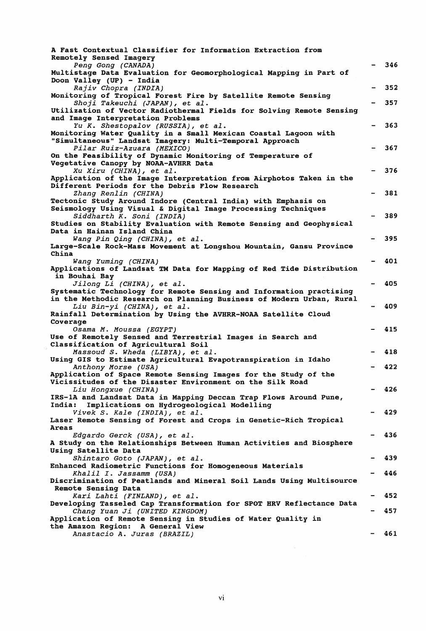| A Fast Contextual Classifier for Information Extraction from                                                             |     |
|--------------------------------------------------------------------------------------------------------------------------|-----|
| Remotely Sensed Imagery<br>Peng Gong (CANADA)                                                                            | 346 |
| Multistage Data Evaluation for Geomorphological Mapping in Part of                                                       |     |
| Doon Valley (UP) - India<br>Rajiv Chopra (INDIA)                                                                         | 352 |
| Monitoring of Tropical Forest Fire by Satellite Remote Sensing                                                           |     |
| Shoji Takeuchi (JAPAN), et al.                                                                                           | 357 |
| Utilization of Vector Radiothermal Fields for Solving Remote Sensing<br>and Image Interpretation Problems                |     |
| Yu K. Shestopalov (RUSSIA), et al.                                                                                       | 363 |
| Monitoring Water Quality in a Small Mexican Coastal Lagoon with                                                          |     |
| "Simultaneous" Landsat Imagery: Multi-Temporal Approach                                                                  |     |
| Pilar Ruiz-Azuara (MEXICO)<br>On the Feasibility of Dynamic Monitoring of Temperature of                                 | 367 |
| Vegetative Canopy by NOAA-AVHRR Data                                                                                     |     |
| Xu Xiru (CHINA), et al.                                                                                                  | 376 |
| Application of the Image Interpretation from Airphotos Taken in the                                                      |     |
| Different Periods for the Debris Flow Research                                                                           |     |
| Zhang Renlin (CHINA)<br>Tectonic Study Around Indore (Central India) with Emphasis on                                    | 381 |
| Seismology Using Visual & Digital Image Processing Techniques                                                            |     |
| Siddharth K. Soni (INDIA)                                                                                                | 389 |
| Studies on Stability Evaluation with Remote Sensing and Geophysical                                                      |     |
| Data in Hainan Island China<br>Wang Pin Qing (CHINA), et al.                                                             | 395 |
| Large-Scale Rock-Mass Movement at Longshou Mountain, Gansu Province                                                      |     |
| China                                                                                                                    |     |
| Wang Yuming (CHINA)                                                                                                      | 401 |
| Applications of Landsat TM Data for Mapping of Red Tide Distribution                                                     |     |
| in Bouhai Bay<br>Jilong Li (CHINA), et al.                                                                               | 405 |
| Systematic Technology for Remote Sensing and Information practising                                                      |     |
| in the Methodic Research on Planning Business of Modern Urban, Rural                                                     |     |
| Liu Bin-yi (CHINA), et al.                                                                                               | 409 |
| Rainfall Determination by Using the AVHRR-NOAA Satellite Cloud<br>Coverage                                               |     |
| Osama M. Moussa (EGYPT)                                                                                                  | 415 |
| Use of Remotely Sensed and Terrestrial Images in Search and                                                              |     |
| Classification of Agricultural Soil                                                                                      |     |
| Massoud S. Wheda (LIBYA), et al.<br>Using GIS to Estimate Agricultural Evapotranspiration in Idaho                       | 418 |
| Anthony Morse (USA)                                                                                                      | 422 |
| Application of Space Remote Sensing Images for the Study of the                                                          |     |
| Vicissitudes of the Disaster Environment on the Silk Road                                                                |     |
| Liu Hongxue (CHINA)                                                                                                      | 426 |
| IRS-1A and Landsat Data in Mapping Deccan Trap Flows Around Pune,<br>India:<br>Implications on Hydrogeological Modelling |     |
| Vivek S. Kale (INDIA), et al.                                                                                            | 429 |
| Laser Remote Sensing of Forest and Crops in Genetic-Rich Tropical                                                        |     |
| Areas                                                                                                                    |     |
| Edgardo Gerck (USA), et al.                                                                                              | 436 |
| A Study on the Relationships Between Human Activities and Biosphere<br>Using Satellite Data                              |     |
| Shintaro Goto (JAPAN), et al.                                                                                            | 439 |
| Enhanced Radiometric Functions for Homogeneous Materials                                                                 |     |
| Khalil I. Jassamm (USA)                                                                                                  | 446 |
| Discrimination of Peatlands and Mineral Soil Lands Using Multisource                                                     |     |
| Remote Sensing Data<br>Kari Lahti (FINLAND), et al.                                                                      | 452 |
| Developing Tasseled Cap Transformation for SPOT HRV Reflectance Data                                                     |     |
| Chang Yuan Ji (UNITED KINGDOM)                                                                                           | 457 |
| Application of Remote Sensing in Studies of Water Quality in                                                             |     |
| the Amazon Region: A General View                                                                                        | 461 |
| Anastacio A. Juras (BRAZIL)                                                                                              |     |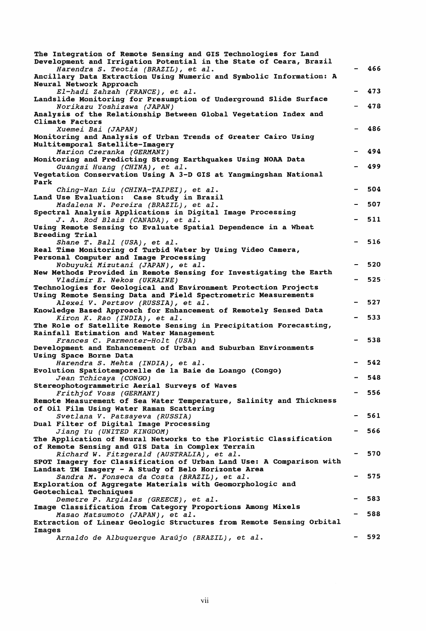| The Integration of Remote Sensing and GIS Technologies for Land<br>Development and Irrigation Potential in the State of Ceara, Brazil<br>Harendra S. Teotia (BRAZIL), et al. | 466 |
|------------------------------------------------------------------------------------------------------------------------------------------------------------------------------|-----|
| Ancillary Data Extraction Using Numeric and Symbolic Information: A<br>Neural Network Approach                                                                               |     |
| El-hadi Zahzah (FRANCE), et al.<br>Landslide Monitoring for Presumption of Underground Slide Surface                                                                         | 473 |
| Norikazu Yoshizawa (JAPAN)<br>Analysis of the Relationship Between Global Vegetation Index and                                                                               | 478 |
| <b>Climate Factors</b><br>Xuemei Bai (JAPAN)                                                                                                                                 | 486 |
| Monitoring and Analysis of Urban Trends of Greater Cairo Using<br>Multitemporal Satellite-Imagery<br>Marion Czeranka (GERMANY)                                               | 494 |
| Monitoring and Predicting Strong Earthquakes Using NOAA Data<br>Guangsi Huang (CHINA), et al.                                                                                | 499 |
| Vegetation Conservation Using A 3-D GIS at Yangmingshan National<br>Park                                                                                                     |     |
| Ching-Nan Liu (CHINA-TAIPEI), et al.<br>Land Use Evaluation: Case Study in Brazil                                                                                            | 504 |
| Madalena N. Pereira (BRAZIL), et al.<br>Spectral Analysis Applications in Digital Image Processing                                                                           | 507 |
| J. A. Rod Blais (CANADA), et al.<br>Using Remote Sensing to Evaluate Spatial Dependence in a Wheat                                                                           | 511 |
| Breeding Trial<br>Shane T. Ball (USA), et al.                                                                                                                                | 516 |
| Real Time Monitoring of Turbid Water by Using Video Camera,<br>Personal Computer and Image Processing                                                                        |     |
| Nobuyuki Mizutani (JAPAN), et al.<br>New Methods Provided in Remote Sensing for Investigating the Earth                                                                      | 520 |
| Vladimir E. Nekos (UKRAINE)<br>Technologies for Geological and Environment Protection Projects                                                                               | 525 |
| Using Remote Sensing Data and Field Spectrometric Measurements                                                                                                               | 527 |
| Alexei V. Pertsov (RUSSIA), et al.<br>Knowledge Based Approach for Enhancement of Remotely Sensed Data                                                                       |     |
| Kiron K. Rao (INDIA), et al.<br>The Role of Satellite Remote Sensing in Precipitation Forecasting,                                                                           | 533 |
| Rainfall Estimation and Water Management<br>Frances C. Parmenter-Holt (USA)                                                                                                  | 538 |
| Development and Enhancement of Urban and Suburban Environments<br>Using Space Borne Data                                                                                     |     |
| Harendra S. Mehta (INDIA), et al.<br>Evolution Spatiotemporelle de la Baie de Loango (Congo)                                                                                 | 542 |
| Jean Tchicaya (CONGO)<br>Stereophotogrammetric Aerial Surveys of Waves                                                                                                       | 548 |
| Frithjof Voss (GERMANY)                                                                                                                                                      | 556 |
| Remote Measurement of Sea Water Temperature, Salinity and Thickness<br>of Oil Film Using Water Raman Scattering                                                              |     |
| Svetlana V. Patsayeva (RUSSIA)<br>Dual Filter of Digital Image Processing                                                                                                    | 561 |
| Jiang Yu (UNITED KINGDOM)<br>The Application of Neural Networks to the Floristic Classification                                                                              | 566 |
| of Remote Sensing and GIS Data in Complex Terrain<br>Richard W. Fitzgerald (AUSTRALIA), et al.                                                                               | 570 |
| SPOT Imagery for Classification of Urban Land Use: A Comparison with<br>Landsat TM Imagery - A Study of Belo Horizonte Area                                                  |     |
| Sandra M. Fonseca da Costa (BRAZIL), et al.                                                                                                                                  | 575 |
| Exploration of Aggregate Materials with Geomorphologic and<br>Geotechical Techniques                                                                                         |     |
| Demetre P. Argialas (GREECE), et al.<br>Image Classification from Category Proportions Among Mixels                                                                          | 583 |
| Masao Matsumoto (JAPAN), et al.<br>Extraction of Linear Geologic Structures from Remote Sensing Orbital                                                                      | 588 |
| Images<br>Arnaldo de Albuquerque Araújo (BRAZIL), et al.                                                                                                                     | 592 |
|                                                                                                                                                                              |     |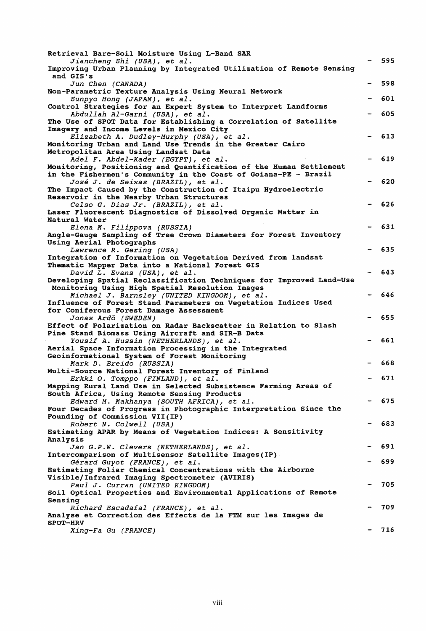| Retrieval Bare-Soil Moisture Using L-Band SAR                        |     |
|----------------------------------------------------------------------|-----|
| Jiancheng Shi (USA), et al.                                          | 595 |
| Improving Urban Planning by Integrated Utilization of Remote Sensing |     |
| and GIS's                                                            | 598 |
| Jun Chen (CANADA)                                                    |     |
| Non-Parametric Texture Analysis Using Neural Network                 |     |
| Sunpyo Hong (JAPAN), et al.                                          | 601 |
| Control Strategies for an Expert System to Interpret Landforms       |     |
| Abdullah Al-Garni (USA), et al.                                      | 605 |
| The Use of SPOT Data for Establishing a Correlation of Satellite     |     |
| Imagery and Income Levels in Mexico City                             |     |
| Elizabeth A. Dudley-Murphy (USA), et al.                             | 613 |
| Monitoring Urban and Land Use Trends in the Greater Cairo            |     |
| Metropolitan Area Using Landsat Data                                 |     |
| Adel F. Abdel-Kader (EGYPT), et al.                                  | 619 |
| Monitoring, Positioning and Quantification of the Human Settlement   |     |
| in the Fishermen's Community in the Coast of Goiana-PE - Brazil      |     |
| José J. de Seixas (BRAZIL), et al.                                   | 620 |
| The Impact Caused by the Construction of Itaipu Hydroelectric        |     |
| Reservoir in the Nearby Urban Structures                             |     |
|                                                                      | 626 |
| Celso G. Dias Jr. (BRAZIL), et al.                                   |     |
| Laser Fluorescent Diagnostics of Dissolved Organic Matter in         |     |
| Natural Water                                                        |     |
| Elena M. Filippova (RUSSIA)                                          | 631 |
| Angle-Gauge Sampling of Tree Crown Diameters for Forest Inventory    |     |
| Using Aerial Photographs                                             |     |
| Lawrence R. Gering (USA)                                             | 635 |
| Integration of Information on Vegetation Derived from landsat        |     |
| Thematic Mapper Data into a National Forest GIS                      |     |
| David L. Evans (USA), et al.                                         | 643 |
| Developing Spatial Reclassification Techniques for Improved Land-Use |     |
| Monitoring Using High Spatial Resolution Images                      |     |
| Michael J. Barnsley (UNITED KINGDOM), et al.                         | 646 |
| Influence of Forest Stand Parameters on Vegetation Indices Used      |     |
| for Coniferous Forest Damage Assessment                              |     |
| Jonas Ardö (SWEDEN)                                                  | 655 |
| Effect of Polarization on Radar Backscatter in Relation to Slash     |     |
| Pine Stand Biomass Using Aircraft and SIR-B Data                     |     |
|                                                                      | 661 |
| Yousif A. Hussin (NETHERLANDS), et al.                               |     |
| Aerial Space Information Processing in the Integrated                |     |
| Geoinformational System of Forest Monitoring                         |     |
| Mark D. Breido (RUSSIA)                                              | 668 |
| Multi-Source National Forest Inventory of Finland                    |     |
| Erkki O. Tomppo (FINLAND), et al.                                    | 671 |
| Mapping Rural Land Use in Selected Subsistence Farming Areas of      |     |
| South Africa, Using Remote Sensing Products                          |     |
| Edward M. Makhanya (SOUTH AFRICA), et al.                            | 675 |
| Four Decades of Progress in Photographic Interpretation Since the    |     |
| Founding of Commission VII(IP)                                       |     |
| Robert N. Colwell (USA)                                              | 683 |
| Estimating APAR by Means of Vegetation Indices: A Sensitivity        |     |
| Analysis                                                             |     |
|                                                                      | 691 |
| Jan G.P.W. Clevers (NETHERLANDS), et al.                             |     |
| Intercomparison of Multisensor Satellite Images(IP)                  | 699 |
| Gérard Guyot (FRANCE), et al.                                        |     |
| Estimating Foliar Chemical Concentrations with the Airborne          |     |
| Visible/Infrared Imaging Spectrometer (AVIRIS)                       |     |
| Paul J. Curran (UNITED KINGDOM)                                      | 705 |
| Soil Optical Properties and Environmental Applications of Remote     |     |
| Sensing                                                              |     |
| Richard Escadafal (FRANCE), et al.                                   | 709 |
| Analyse et Correction des Effects de la FTM sur les Images de        |     |
| <b>SPOT-HRV</b>                                                      |     |
| Xing-Fa Gu (FRANCE)                                                  | 716 |

 $\sim$   $\sim$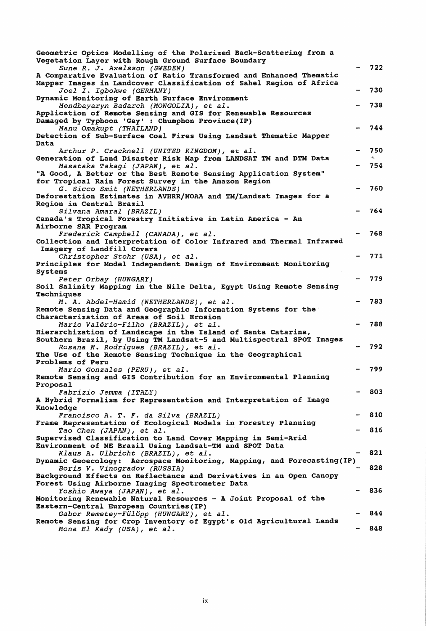| Geometric Optics Modelling of the Polarized Back-Scattering from a<br>Vegetation Layer with Rough Ground Surface Boundary<br>Sune R. J. Axelsson (SWEDEN)                     | 722 |
|-------------------------------------------------------------------------------------------------------------------------------------------------------------------------------|-----|
| A Comparative Evaluation of Ratio Transformed and Enhanced Thematic<br>Mapper Images in Landcover Classification of Sahel Region of Africa<br>Joel I. Igbokwe (GERMANY)       | 730 |
| Dynamic Monitoring of Earth Surface Environment<br>Mendbayaryn Badarch (MONGOLIA), et al.                                                                                     | 738 |
| Application of Remote Sensing and GIS for Renewable Resources<br>Damaged by Typhoon 'Gay' : Chumphon Province(IP)<br>Manu Omakupt (THAILAND)                                  | 744 |
| Detection of Sub-Surface Coal Fires Using Landsat Thematic Mapper<br>Data                                                                                                     |     |
| Arthur P. Cracknell (UNITED KINGDOM), et al.<br>Generation of Land Disaster Risk Map from LANDSAT TM and DTM Data                                                             | 750 |
| Masataka Takagi (JAPAN), et al.<br>"A Good, A Better or the Best Remote Sensing Application System"<br>for Tropical Rain Forest Survey in the Amazon Region                   | 754 |
| G. Sicco Smit (NETHERLANDS)<br>Deforestation Estimates in AVHRR/NOAA and TM/Landsat Images for a<br>Region in Central Brazil                                                  | 760 |
| Silvana Amaral (BRAZIL)<br>Canada's Tropical Forestry Initiative in Latin America - An                                                                                        | 764 |
| Airborne SAR Program<br>Frederick Campbell (CANADA), et al.<br>Collection and Interpretation of Color Infrared and Thermal Infrared                                           | 768 |
| Imagery of Landfill Covers<br>Christopher Stohr (USA), et al.<br>Principles for Model Independent Design of Environment Monitoring                                            | 771 |
| Systems<br>Peter Orbay (HUNGARY)<br>Soil Salinity Mapping in the Nile Delta, Egypt Using Remote Sensing                                                                       | 779 |
| Techniques<br>M. A. Abdel-Hamid (NETHERLANDS), et al.<br>Remote Sensing Data and Geographic Information Systems for the                                                       | 783 |
| Characterization of Areas of Soil Erosion<br>Mario Valério-Filho (BRAZIL), et al.                                                                                             | 788 |
| Hierarchization of Landscape in the Island of Santa Catarina,<br>Southern Brazil, by Using TM Landsat-5 and Multispectral SPOT Images<br>Rosana M. Rodrigues (BRAZIL), et al. | 792 |
| The Use of the Remote Sensing Technique in the Geographical<br>Problems of Peru                                                                                               | 799 |
| Mario Gonzales (PERU), et al.<br>Remote Sensing and GIS Contribution for an Environmental Planning<br>Proposal                                                                |     |
| Fabrizio Jemma (ITALY)<br>A Hybrid Formalism for Representation and Interpretation of Image<br>Knowledge                                                                      | 803 |
| Francisco A. T. F. da Silva (BRAZIL)<br>Frame Representation of Ecological Models in Forestry Planning                                                                        | 810 |
| Tao Chen (JAPAN), et al.<br>Supervised Classification to Land Cover Mapping in Semi-Arid                                                                                      | 816 |
| Environment of NE Brazil Using Landsat-TM and SPOT Data<br>Klaus A. Ulbricht (BRAZIL), et al.                                                                                 | 821 |
| Dynamic Geoecology: Aerospace Monitoring, Mapping, and Forecasting(IP)<br>Boris V. Vinogradov (RUSSIA)<br>Background Effects on Reflectance and Derivatives in an Open Canopy | 828 |
| Forest Using Airborne Imaging Spectrometer Data<br>Yoshio Awaya (JAPAN), et al.<br>Monitoring Renewable Natural Resources - A Joint Proposal of the                           | 836 |
| Eastern-Central European Countries (IP)<br>Gabor Remetey-Fülöpp (HUNGARY), et al.                                                                                             | 844 |
| Remote Sensing for Crop Inventory of Egypt's Old Agricultural Lands<br>Mona El Kady (USA), et al.                                                                             | 848 |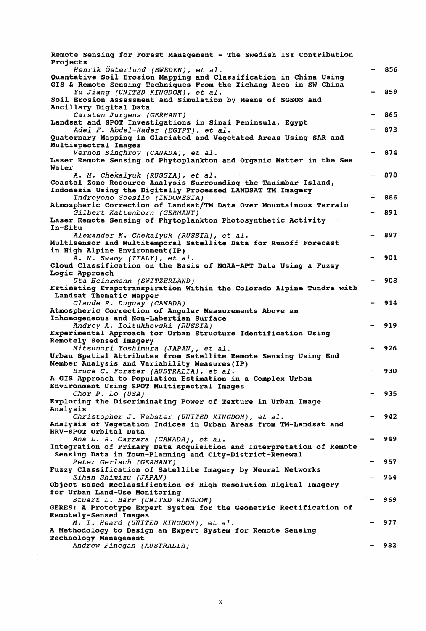| Remote Sensing for Forest Management - The Swedish ISY Contribution<br>Projects                                                        |     |
|----------------------------------------------------------------------------------------------------------------------------------------|-----|
| Henrik Österlund (SWEDEN), et al.                                                                                                      | 856 |
| Quantative Soil Erosion Mapping and Classification in China Using<br>GIS & Remote Sensing Techniques From the Xichang Area in SW China |     |
| Yu Jiang (UNITED KINGDOM), et al.<br>Soil Erosion Assessment and Simulation by Means of SGEOS and                                      | 859 |
| Ancillary Digital Data                                                                                                                 | 865 |
| Carsten Jurgens (GERMANY)<br>Landsat and SPOT Investigations in Sinai Peninsula, Egypt<br>Adel F. Abdel-Kader (EGYPT), et al.          | 873 |
| Quaternary Mapping in Glaciated and Vegetated Areas Using SAR and                                                                      |     |
| Multispectral Images                                                                                                                   |     |
| Vernon Singhroy (CANADA), et al.                                                                                                       | 874 |
| Laser Remote Sensing of Phytoplankton and Organic Matter in the Sea<br>Water                                                           |     |
| A. M. Chekalyuk (RUSSIA), et al.                                                                                                       | 878 |
| Coastal Zone Resource Analysis Surrounding the Tanimbar Island,<br>Indonesia Using the Digitally Processed LANDSAT TM Imagery          |     |
| Indroyono Soesilo (INDONESIA)                                                                                                          | 886 |
| Atmospheric Correction of Landsat/TM Data Over Mountainous Terrain<br>Gilbert Kattenborn (GERMANY)                                     | 891 |
| Laser Remote Sensing of Phytoplankton Photosynthetic Activity                                                                          |     |
| In-Situ                                                                                                                                |     |
| Alexander M. Chekalyuk (RUSSIA), et al.                                                                                                | 897 |
| Multisensor and Multitemporal Satellite Data for Runoff Forecast                                                                       |     |
| in High Alpine Environment (IP)                                                                                                        |     |
| A. N. Swamy (ITALY), et al.                                                                                                            | 901 |
| Cloud Classification on the Basis of NOAA-APT Data Using a Fuzzy                                                                       |     |
| Logic Approach                                                                                                                         |     |
| Uta Heinzmann (SWITZERLAND)                                                                                                            | 908 |
| Estimating Evapotranspiration Within the Colorado Alpine Tundra with                                                                   |     |
| Landsat Thematic Mapper                                                                                                                |     |
| Claude R. Duguay (CANADA)                                                                                                              | 914 |
| Atmospheric Correction of Angular Measurements Above an                                                                                |     |
| Inhomogeneous and Non-Labertian Surface                                                                                                |     |
| Andrey A. Ioltukhovski (RUSSIA)                                                                                                        | 919 |
| Experimental Approach for Urban Structure Identification Using                                                                         |     |
| Remotely Sensed Imagery<br>Mitsunori Yoshimura (JAPAN), et al.                                                                         | 926 |
| Urban Spatial Attributes from Satellite Remote Sensing Using End                                                                       |     |
| Member Analysis and Variability Measures (IP)                                                                                          |     |
| Bruce C. Forster (AUSTRALIA), et al.                                                                                                   | 930 |
| A GIS Approach to Population Estimation in a Complex Urban                                                                             |     |
| Environment Using SPOT Multispectral Images                                                                                            |     |
| Chor P. Lo (USA)                                                                                                                       | 935 |
| Exploring the Discriminating Power of Texture in Urban Image                                                                           |     |
| Analysis                                                                                                                               |     |
| Christopher J. Webster (UNITED KINGDOM), et al.                                                                                        | 942 |
| Analysis of Vegetation Indices in Urban Areas from TM-Landsat and                                                                      |     |
| HRV-SPOT Orbital Data                                                                                                                  |     |
| Ana L. R. Carrara (CANADA), et al.                                                                                                     | 949 |
| Integration of Primary Data Acquisition and Interpretation of Remote                                                                   |     |
| Sensing Data in Town-Planning and City-District-Renewal                                                                                |     |
| Peter Gerlach (GERMANY)                                                                                                                | 957 |
| Fuzzy Classification of Satellite Imagery by Neural Networks                                                                           |     |
| Eihan Shimizu (JAPAN)                                                                                                                  | 964 |
| Object Based Reclassification of High Resolution Digital Imagery                                                                       |     |
| for Urban Land-Use Monitoring                                                                                                          |     |
| Stuart L. Barr (UNITED KINGDOM)                                                                                                        | 969 |
| GERES: A Prototype Expert System for the Geometric Rectification of                                                                    |     |
| <b>Remotely-Sensed Images</b>                                                                                                          |     |
| M. I. Heard (UNITED KINGDOM), et al.                                                                                                   | 977 |
| A Methodology to Design an Expert System for Remote Sensing                                                                            |     |
| Technology Management                                                                                                                  |     |
| Andrew Finegan (AUSTRALIA)                                                                                                             | 982 |